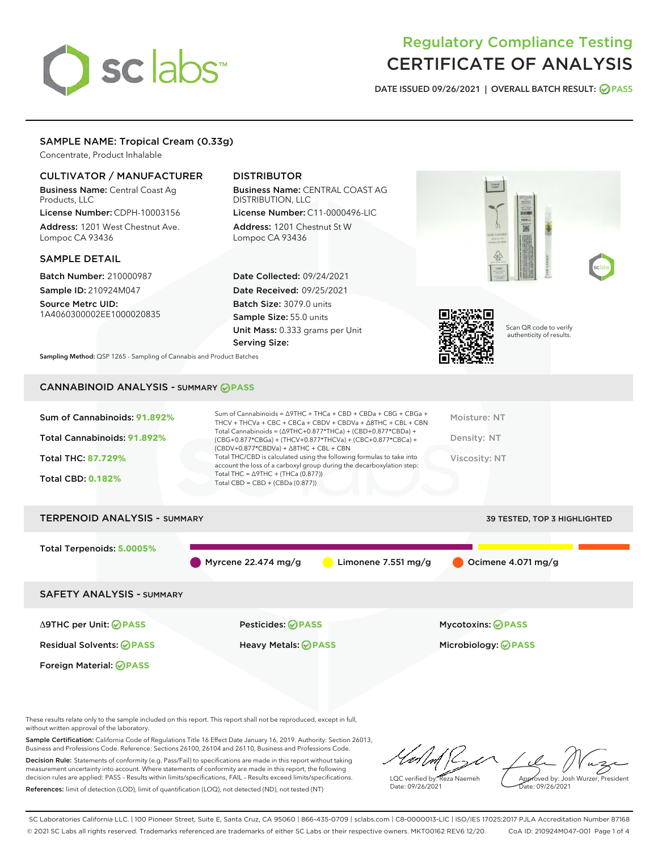# sclabs

# Regulatory Compliance Testing CERTIFICATE OF ANALYSIS

DATE ISSUED 09/26/2021 | OVERALL BATCH RESULT: @ PASS

## SAMPLE NAME: Tropical Cream (0.33g)

Concentrate, Product Inhalable

## CULTIVATOR / MANUFACTURER

Business Name: Central Coast Ag Products, LLC License Number: CDPH-10003156

Address: 1201 West Chestnut Ave. Lompoc CA 93436

#### SAMPLE DETAIL

Batch Number: 210000987 Sample ID: 210924M047

Source Metrc UID: 1A4060300002EE1000020835

Foreign Material: **PASS**

# DISTRIBUTOR

Business Name: CENTRAL COAST AG DISTRIBUTION, LLC License Number: C11-0000496-LIC

Address: 1201 Chestnut St W Lompoc CA 93436

Date Collected: 09/24/2021 Date Received: 09/25/2021 Batch Size: 3079.0 units Sample Size: 55.0 units Unit Mass: 0.333 grams per Unit Serving Size:



Scan QR code to verify authenticity of results.

Sampling Method: QSP 1265 - Sampling of Cannabis and Product Batches

# CANNABINOID ANALYSIS - SUMMARY **PASS**

| Total Cannabinoids = $(\Delta$ 9THC+0.877*THCa) + (CBD+0.877*CBDa) +<br>Total Cannabinoids: 91.892%<br>Density: NT<br>(CBG+0.877*CBGa) + (THCV+0.877*THCVa) + (CBC+0.877*CBCa) +<br>$(CBDV+0.877*CBDVa) + \Delta 8THC + CBL + CBN$<br>Total THC/CBD is calculated using the following formulas to take into<br><b>Total THC: 87.729%</b><br>Viscosity: NT<br>account the loss of a carboxyl group during the decarboxylation step:<br>Total THC = $\triangle$ 9THC + (THCa (0.877))<br><b>Total CBD: 0.182%</b><br>Total CBD = $CBD + (CBDa (0.877))$ | Sum of Cannabinoids: 91.892% | Sum of Cannabinoids = $\triangle$ 9THC + THCa + CBD + CBDa + CBG + CBGa +<br>THCV + THCVa + CBC + CBCa + CBDV + CBDVa + A8THC + CBL + CBN | Moisture: NT |
|-------------------------------------------------------------------------------------------------------------------------------------------------------------------------------------------------------------------------------------------------------------------------------------------------------------------------------------------------------------------------------------------------------------------------------------------------------------------------------------------------------------------------------------------------------|------------------------------|-------------------------------------------------------------------------------------------------------------------------------------------|--------------|
|                                                                                                                                                                                                                                                                                                                                                                                                                                                                                                                                                       |                              |                                                                                                                                           |              |
|                                                                                                                                                                                                                                                                                                                                                                                                                                                                                                                                                       |                              |                                                                                                                                           |              |
|                                                                                                                                                                                                                                                                                                                                                                                                                                                                                                                                                       |                              |                                                                                                                                           |              |

# TERPENOID ANALYSIS - SUMMARY 39 TESTED, TOP 3 HIGHLIGHTED Total Terpenoids: **5.0005%** Myrcene 22.474 mg/g  $\qquad \qquad$  Limonene 7.551 mg/g  $\qquad \qquad$  Ocimene 4.071 mg/g SAFETY ANALYSIS - SUMMARY Δ9THC per Unit: **PASS** Pesticides: **PASS** Mycotoxins: **PASS**

Residual Solvents: **PASS** Heavy Metals: **PASS** Microbiology: **PASS**

These results relate only to the sample included on this report. This report shall not be reproduced, except in full, without written approval of the laboratory.

Sample Certification: California Code of Regulations Title 16 Effect Date January 16, 2019. Authority: Section 26013, Business and Professions Code. Reference: Sections 26100, 26104 and 26110, Business and Professions Code. Decision Rule: Statements of conformity (e.g. Pass/Fail) to specifications are made in this report without taking

measurement uncertainty into account. Where statements of conformity are made in this report, the following decision rules are applied: PASS – Results within limits/specifications, FAIL – Results exceed limits/specifications. References: limit of detection (LOD), limit of quantification (LOQ), not detected (ND), not tested (NT)

LQC verified by: Reza Naemeh Date: 09/26/2021 Approved by: Josh Wurzer, President Date: 09/26/2021

SC Laboratories California LLC. | 100 Pioneer Street, Suite E, Santa Cruz, CA 95060 | 866-435-0709 | sclabs.com | C8-0000013-LIC | ISO/IES 17025:2017 PJLA Accreditation Number 87168 © 2021 SC Labs all rights reserved. Trademarks referenced are trademarks of either SC Labs or their respective owners. MKT00162 REV6 12/20 CoA ID: 210924M047-001 Page 1 of 4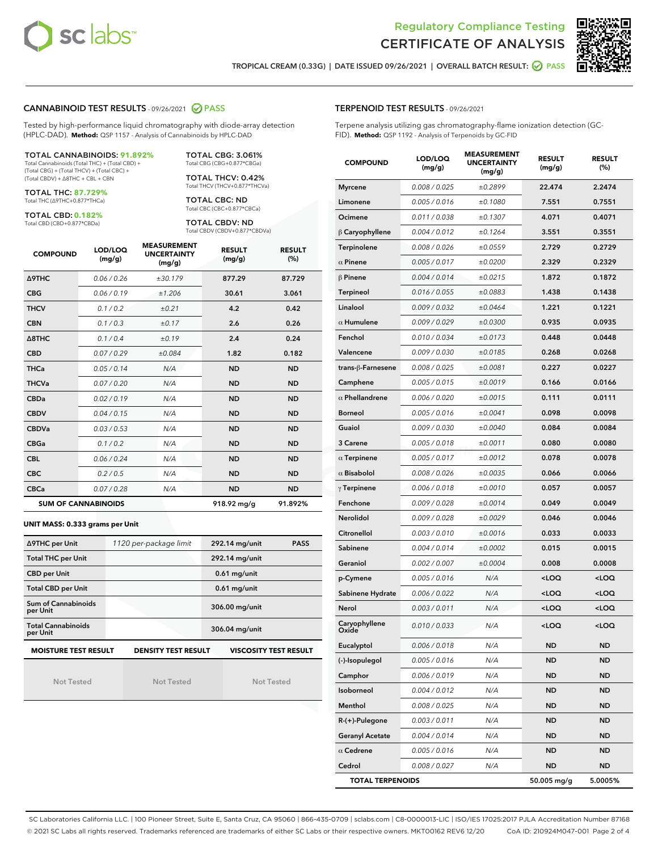



TROPICAL CREAM (0.33G) | DATE ISSUED 09/26/2021 | OVERALL BATCH RESULT: **○** PASS

#### CANNABINOID TEST RESULTS - 09/26/2021 2 PASS

Tested by high-performance liquid chromatography with diode-array detection (HPLC-DAD). **Method:** QSP 1157 - Analysis of Cannabinoids by HPLC-DAD

#### TOTAL CANNABINOIDS: **91.892%**

Total Cannabinoids (Total THC) + (Total CBD) + (Total CBG) + (Total THCV) + (Total CBC) + (Total CBDV) + ∆8THC + CBL + CBN

TOTAL THC: **87.729%** Total THC (∆9THC+0.877\*THCa)

TOTAL CBD: **0.182%**

Total CBD (CBD+0.877\*CBDa)

TOTAL CBG: 3.061% Total CBG (CBG+0.877\*CBGa)

TOTAL THCV: 0.42% Total THCV (THCV+0.877\*THCVa)

TOTAL CBC: ND Total CBC (CBC+0.877\*CBCa)

TOTAL CBDV: ND Total CBDV (CBDV+0.877\*CBDVa)

| <b>COMPOUND</b>            | LOD/LOQ<br>(mg/g) | <b>MEASUREMENT</b><br><b>UNCERTAINTY</b><br>(mg/g) | <b>RESULT</b><br>(mg/g) | <b>RESULT</b><br>(%) |
|----------------------------|-------------------|----------------------------------------------------|-------------------------|----------------------|
| <b>A9THC</b>               | 0.06 / 0.26       | ±30.179                                            | 877.29                  | 87.729               |
| <b>CBG</b>                 | 0.06 / 0.19       | ±1.206                                             | 30.61                   | 3.061                |
| <b>THCV</b>                | 0.1 / 0.2         | ±0.21                                              | 4.2                     | 0.42                 |
| <b>CBN</b>                 | 0.1/0.3           | ±0.17                                              | 2.6                     | 0.26                 |
| $\triangle$ 8THC           | 0.1/0.4           | ±0.19                                              | 2.4                     | 0.24                 |
| <b>CBD</b>                 | 0.07/0.29         | ±0.084                                             | 1.82                    | 0.182                |
| <b>THCa</b>                | 0.05/0.14         | N/A                                                | <b>ND</b>               | <b>ND</b>            |
| <b>THCVa</b>               | 0.07/0.20         | N/A                                                | <b>ND</b>               | <b>ND</b>            |
| <b>CBDa</b>                | 0.02 / 0.19       | N/A                                                | <b>ND</b>               | <b>ND</b>            |
| <b>CBDV</b>                | 0.04/0.15         | N/A                                                | <b>ND</b>               | <b>ND</b>            |
| <b>CBDVa</b>               | 0.03/0.53         | N/A                                                | <b>ND</b>               | <b>ND</b>            |
| <b>CBGa</b>                | 0.1/0.2           | N/A                                                | <b>ND</b>               | <b>ND</b>            |
| <b>CBL</b>                 | 0.06 / 0.24       | N/A                                                | <b>ND</b>               | <b>ND</b>            |
| <b>CBC</b>                 | 0.2 / 0.5         | N/A                                                | <b>ND</b>               | <b>ND</b>            |
| <b>CBCa</b>                | 0.07/0.28         | N/A                                                | <b>ND</b>               | <b>ND</b>            |
| <b>SUM OF CANNABINOIDS</b> |                   |                                                    | 918.92 mg/g             | 91.892%              |

#### **UNIT MASS: 0.333 grams per Unit**

| ∆9THC per Unit                                                                            | 1120 per-package limit | 292.14 mg/unit<br><b>PASS</b> |  |  |  |
|-------------------------------------------------------------------------------------------|------------------------|-------------------------------|--|--|--|
| <b>Total THC per Unit</b>                                                                 |                        | 292.14 mg/unit                |  |  |  |
| <b>CBD per Unit</b>                                                                       |                        | $0.61$ mg/unit                |  |  |  |
| <b>Total CBD per Unit</b>                                                                 |                        | $0.61$ mg/unit                |  |  |  |
| Sum of Cannabinoids<br>per Unit                                                           |                        | 306.00 mg/unit                |  |  |  |
| <b>Total Cannabinoids</b><br>per Unit                                                     |                        | 306.04 mg/unit                |  |  |  |
| <b>MOISTURE TEST RESULT</b><br><b>DENSITY TEST RESULT</b><br><b>VISCOSITY TEST RESULT</b> |                        |                               |  |  |  |

Not Tested

Not Tested

Not Tested

#### TERPENOID TEST RESULTS - 09/26/2021

Terpene analysis utilizing gas chromatography-flame ionization detection (GC-FID). **Method:** QSP 1192 - Analysis of Terpenoids by GC-FID

| <b>COMPOUND</b>         | LOD/LOQ<br>(mg/g) | <b>MEASUREMENT</b><br><b>UNCERTAINTY</b><br>(mg/g) | <b>RESULT</b><br>(mg/g)                         | <b>RESULT</b><br>$(\%)$ |
|-------------------------|-------------------|----------------------------------------------------|-------------------------------------------------|-------------------------|
| <b>Myrcene</b>          | 0.008 / 0.025     | ±0.2899                                            | 22.474                                          | 2.2474                  |
| Limonene                | 0.005 / 0.016     | ±0.1080                                            | 7.551                                           | 0.7551                  |
| Ocimene                 | 0.011 / 0.038     | ±0.1307                                            | 4.071                                           | 0.4071                  |
| $\upbeta$ Caryophyllene | 0.004 / 0.012     | ±0.1264                                            | 3.551                                           | 0.3551                  |
| Terpinolene             | 0.008 / 0.026     | ±0.0559                                            | 2.729                                           | 0.2729                  |
| $\alpha$ Pinene         | 0.005 / 0.017     | ±0.0200                                            | 2.329                                           | 0.2329                  |
| $\beta$ Pinene          | 0.004 / 0.014     | ±0.0215                                            | 1.872                                           | 0.1872                  |
| Terpineol               | 0.016 / 0.055     | ±0.0883                                            | 1.438                                           | 0.1438                  |
| Linalool                | 0.009 / 0.032     | ±0.0464                                            | 1.221                                           | 0.1221                  |
| $\alpha$ Humulene       | 0.009 / 0.029     | ±0.0300                                            | 0.935                                           | 0.0935                  |
| Fenchol                 | 0.010 / 0.034     | ±0.0173                                            | 0.448                                           | 0.0448                  |
| Valencene               | 0.009 / 0.030     | ±0.0185                                            | 0.268                                           | 0.0268                  |
| trans-ß-Farnesene       | 0.008 / 0.025     | ±0.0081                                            | 0.227                                           | 0.0227                  |
| Camphene                | 0.005 / 0.015     | ±0.0019                                            | 0.166                                           | 0.0166                  |
| $\alpha$ Phellandrene   | 0.006 / 0.020     | ±0.0015                                            | 0.111                                           | 0.0111                  |
| <b>Borneol</b>          | 0.005 / 0.016     | ±0.0041                                            | 0.098                                           | 0.0098                  |
| Guaiol                  | 0.009 / 0.030     | ±0.0040                                            | 0.084                                           | 0.0084                  |
| 3 Carene                | 0.005 / 0.018     | ±0.0011                                            | 0.080                                           | 0.0080                  |
| $\alpha$ Terpinene      | 0.005 / 0.017     | ±0.0012                                            | 0.078                                           | 0.0078                  |
| $\alpha$ Bisabolol      | 0.008 / 0.026     | ±0.0035                                            | 0.066                                           | 0.0066                  |
| $\gamma$ Terpinene      | 0.006 / 0.018     | ±0.0010                                            | 0.057                                           | 0.0057                  |
| Fenchone                | 0.009 / 0.028     | ±0.0014                                            | 0.049                                           | 0.0049                  |
| Nerolidol               | 0.009 / 0.028     | ±0.0029                                            | 0.046                                           | 0.0046                  |
| Citronellol             | 0.003 / 0.010     | ±0.0016                                            | 0.033                                           | 0.0033                  |
| Sabinene                | 0.004 / 0.014     | ±0.0002                                            | 0.015                                           | 0.0015                  |
| Geraniol                | 0.002 / 0.007     | ±0.0004                                            | 0.008                                           | 0.0008                  |
| p-Cymene                | 0.005 / 0.016     | N/A                                                | <loq< th=""><th><loq< th=""></loq<></th></loq<> | <loq< th=""></loq<>     |
| Sabinene Hydrate        | 0.006 / 0.022     | N/A                                                | <loq< th=""><th><loq< th=""></loq<></th></loq<> | <loq< th=""></loq<>     |
| Nerol                   | 0.003 / 0.011     | N/A                                                | <loq< th=""><th><loq< th=""></loq<></th></loq<> | <loq< th=""></loq<>     |
| Caryophyllene           | 0.010 / 0.033     | N/A                                                | <loq< th=""><th><loq< th=""></loq<></th></loq<> | <loq< th=""></loq<>     |
| Eucalyptol              | 0.006 / 0.018     | N/A                                                | ND                                              | ND                      |
| (-)-Isopulegol          | 0.005 / 0.016     | N/A                                                | ND                                              | ND                      |
| Camphor                 | 0.006 / 0.019     | N/A                                                | ND                                              | <b>ND</b>               |
| Isoborneol              | 0.004 / 0.012     | N/A                                                | ND                                              | <b>ND</b>               |
| Menthol                 | 0.008 / 0.025     | N/A                                                | ND                                              | ND                      |
| R-(+)-Pulegone          | 0.003 / 0.011     | N/A                                                | ND                                              | ND                      |
| <b>Geranyl Acetate</b>  | 0.004 / 0.014     | N/A                                                | ND                                              | ND                      |
| $\alpha$ Cedrene        | 0.005 / 0.016     | N/A                                                | ND                                              | ND                      |
| Cedrol                  | 0.008 / 0.027     | N/A                                                | ND                                              | ND                      |
| <b>TOTAL TERPENOIDS</b> |                   |                                                    | 50.005 mg/g                                     | 5.0005%                 |

SC Laboratories California LLC. | 100 Pioneer Street, Suite E, Santa Cruz, CA 95060 | 866-435-0709 | sclabs.com | C8-0000013-LIC | ISO/IES 17025:2017 PJLA Accreditation Number 87168 © 2021 SC Labs all rights reserved. Trademarks referenced are trademarks of either SC Labs or their respective owners. MKT00162 REV6 12/20 CoA ID: 210924M047-001 Page 2 of 4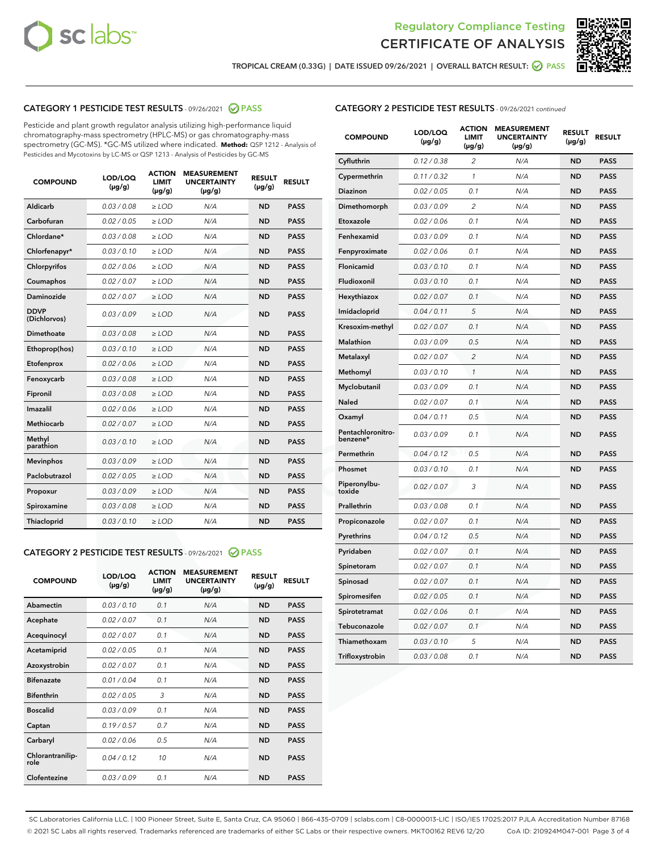



TROPICAL CREAM (0.33G) | DATE ISSUED 09/26/2021 | OVERALL BATCH RESULT: @ PASS

## CATEGORY 1 PESTICIDE TEST RESULTS - 09/26/2021 2 PASS

Pesticide and plant growth regulator analysis utilizing high-performance liquid chromatography-mass spectrometry (HPLC-MS) or gas chromatography-mass spectrometry (GC-MS). \*GC-MS utilized where indicated. **Method:** QSP 1212 - Analysis of Pesticides and Mycotoxins by LC-MS or QSP 1213 - Analysis of Pesticides by GC-MS

| <b>COMPOUND</b>             | LOD/LOQ<br>$(\mu g/g)$ | <b>ACTION</b><br><b>LIMIT</b><br>$(\mu g/g)$ | <b>MEASUREMENT</b><br><b>UNCERTAINTY</b><br>$(\mu g/g)$ | <b>RESULT</b><br>$(\mu g/g)$ | <b>RESULT</b> |
|-----------------------------|------------------------|----------------------------------------------|---------------------------------------------------------|------------------------------|---------------|
| Aldicarb                    | 0.03 / 0.08            | $\ge$ LOD                                    | N/A                                                     | <b>ND</b>                    | <b>PASS</b>   |
| Carbofuran                  | 0.02/0.05              | $>$ LOD                                      | N/A                                                     | <b>ND</b>                    | <b>PASS</b>   |
| Chlordane*                  | 0.03 / 0.08            | $\ge$ LOD                                    | N/A                                                     | <b>ND</b>                    | <b>PASS</b>   |
| Chlorfenapyr*               | 0.03/0.10              | $>$ LOD                                      | N/A                                                     | <b>ND</b>                    | <b>PASS</b>   |
| Chlorpyrifos                | 0.02 / 0.06            | $\ge$ LOD                                    | N/A                                                     | <b>ND</b>                    | <b>PASS</b>   |
| Coumaphos                   | 0.02 / 0.07            | $\ge$ LOD                                    | N/A                                                     | <b>ND</b>                    | <b>PASS</b>   |
| Daminozide                  | 0.02 / 0.07            | $\ge$ LOD                                    | N/A                                                     | <b>ND</b>                    | <b>PASS</b>   |
| <b>DDVP</b><br>(Dichlorvos) | 0.03/0.09              | $\ge$ LOD                                    | N/A                                                     | <b>ND</b>                    | <b>PASS</b>   |
| Dimethoate                  | 0.03/0.08              | $>$ LOD                                      | N/A                                                     | <b>ND</b>                    | <b>PASS</b>   |
| Ethoprop(hos)               | 0.03/0.10              | $\ge$ LOD                                    | N/A                                                     | <b>ND</b>                    | <b>PASS</b>   |
| Etofenprox                  | 0.02 / 0.06            | $\ge$ LOD                                    | N/A                                                     | <b>ND</b>                    | <b>PASS</b>   |
| Fenoxycarb                  | 0.03 / 0.08            | $\ge$ LOD                                    | N/A                                                     | <b>ND</b>                    | <b>PASS</b>   |
| Fipronil                    | 0.03/0.08              | $>$ LOD                                      | N/A                                                     | <b>ND</b>                    | <b>PASS</b>   |
| Imazalil                    | 0.02 / 0.06            | $\ge$ LOD                                    | N/A                                                     | <b>ND</b>                    | <b>PASS</b>   |
| Methiocarb                  | 0.02 / 0.07            | $\ge$ LOD                                    | N/A                                                     | <b>ND</b>                    | <b>PASS</b>   |
| Methyl<br>parathion         | 0.03/0.10              | $\ge$ LOD                                    | N/A                                                     | <b>ND</b>                    | <b>PASS</b>   |
| <b>Mevinphos</b>            | 0.03/0.09              | $>$ LOD                                      | N/A                                                     | <b>ND</b>                    | <b>PASS</b>   |
| Paclobutrazol               | 0.02 / 0.05            | $\ge$ LOD                                    | N/A                                                     | <b>ND</b>                    | <b>PASS</b>   |
| Propoxur                    | 0.03/0.09              | $\ge$ LOD                                    | N/A                                                     | <b>ND</b>                    | <b>PASS</b>   |
| Spiroxamine                 | 0.03 / 0.08            | $\ge$ LOD                                    | N/A                                                     | <b>ND</b>                    | <b>PASS</b>   |
| Thiacloprid                 | 0.03/0.10              | $\ge$ LOD                                    | N/A                                                     | <b>ND</b>                    | <b>PASS</b>   |

#### CATEGORY 2 PESTICIDE TEST RESULTS - 09/26/2021 @ PASS

| <b>COMPOUND</b>          | LOD/LOO<br>$(\mu g/g)$ | <b>ACTION</b><br>LIMIT<br>$(\mu g/g)$ | <b>MEASUREMENT</b><br><b>UNCERTAINTY</b><br>$(\mu g/g)$ | <b>RESULT</b><br>$(\mu g/g)$ | <b>RESULT</b> |
|--------------------------|------------------------|---------------------------------------|---------------------------------------------------------|------------------------------|---------------|
| Abamectin                | 0.03/0.10              | 0.1                                   | N/A                                                     | <b>ND</b>                    | <b>PASS</b>   |
| Acephate                 | 0.02/0.07              | 0.1                                   | N/A                                                     | <b>ND</b>                    | <b>PASS</b>   |
| Acequinocyl              | 0.02/0.07              | 0.1                                   | N/A                                                     | <b>ND</b>                    | <b>PASS</b>   |
| Acetamiprid              | 0.02/0.05              | 0.1                                   | N/A                                                     | <b>ND</b>                    | <b>PASS</b>   |
| Azoxystrobin             | 0.02/0.07              | 0.1                                   | N/A                                                     | <b>ND</b>                    | <b>PASS</b>   |
| <b>Bifenazate</b>        | 0.01 / 0.04            | 0.1                                   | N/A                                                     | <b>ND</b>                    | <b>PASS</b>   |
| <b>Bifenthrin</b>        | 0.02 / 0.05            | 3                                     | N/A                                                     | <b>ND</b>                    | <b>PASS</b>   |
| <b>Boscalid</b>          | 0.03/0.09              | 0.1                                   | N/A                                                     | <b>ND</b>                    | <b>PASS</b>   |
| Captan                   | 0.19/0.57              | 0.7                                   | N/A                                                     | <b>ND</b>                    | <b>PASS</b>   |
| Carbaryl                 | 0.02/0.06              | 0.5                                   | N/A                                                     | <b>ND</b>                    | <b>PASS</b>   |
| Chlorantranilip-<br>role | 0.04/0.12              | 10                                    | N/A                                                     | <b>ND</b>                    | <b>PASS</b>   |
| Clofentezine             | 0.03/0.09              | 0.1                                   | N/A                                                     | <b>ND</b>                    | <b>PASS</b>   |

|  | <b>CATEGORY 2 PESTICIDE TEST RESULTS</b> - 09/26/2021 continued |  |  |
|--|-----------------------------------------------------------------|--|--|
|  |                                                                 |  |  |

| <b>COMPOUND</b>               | LOD/LOQ<br>(µg/g) | <b>ACTION</b><br><b>LIMIT</b><br>(µg/g) | <b>MEASUREMENT</b><br><b>UNCERTAINTY</b><br>$(\mu g/g)$ | <b>RESULT</b><br>(µg/g) | <b>RESULT</b> |
|-------------------------------|-------------------|-----------------------------------------|---------------------------------------------------------|-------------------------|---------------|
| Cyfluthrin                    | 0.12 / 0.38       | $\overline{c}$                          | N/A                                                     | <b>ND</b>               | <b>PASS</b>   |
| Cypermethrin                  | 0.11 / 0.32       | 1                                       | N/A                                                     | <b>ND</b>               | <b>PASS</b>   |
| <b>Diazinon</b>               | 0.02 / 0.05       | 0.1                                     | N/A                                                     | <b>ND</b>               | <b>PASS</b>   |
| Dimethomorph                  | 0.03 / 0.09       | 2                                       | N/A                                                     | <b>ND</b>               | <b>PASS</b>   |
| Etoxazole                     | 0.02 / 0.06       | 0.1                                     | N/A                                                     | <b>ND</b>               | <b>PASS</b>   |
| Fenhexamid                    | 0.03 / 0.09       | 0.1                                     | N/A                                                     | <b>ND</b>               | <b>PASS</b>   |
| Fenpyroximate                 | 0.02 / 0.06       | 0.1                                     | N/A                                                     | <b>ND</b>               | <b>PASS</b>   |
| Flonicamid                    | 0.03 / 0.10       | 0.1                                     | N/A                                                     | <b>ND</b>               | <b>PASS</b>   |
| Fludioxonil                   | 0.03 / 0.10       | 0.1                                     | N/A                                                     | <b>ND</b>               | <b>PASS</b>   |
| Hexythiazox                   | 0.02 / 0.07       | 0.1                                     | N/A                                                     | <b>ND</b>               | <b>PASS</b>   |
| Imidacloprid                  | 0.04 / 0.11       | 5                                       | N/A                                                     | <b>ND</b>               | <b>PASS</b>   |
| Kresoxim-methyl               | 0.02 / 0.07       | 0.1                                     | N/A                                                     | <b>ND</b>               | <b>PASS</b>   |
| Malathion                     | 0.03 / 0.09       | 0.5                                     | N/A                                                     | <b>ND</b>               | <b>PASS</b>   |
| Metalaxyl                     | 0.02 / 0.07       | $\overline{c}$                          | N/A                                                     | <b>ND</b>               | <b>PASS</b>   |
| Methomyl                      | 0.03 / 0.10       | $\mathcal{I}$                           | N/A                                                     | <b>ND</b>               | <b>PASS</b>   |
| Myclobutanil                  | 0.03 / 0.09       | 0.1                                     | N/A                                                     | <b>ND</b>               | <b>PASS</b>   |
| <b>Naled</b>                  | 0.02 / 0.07       | 0.1                                     | N/A                                                     | <b>ND</b>               | <b>PASS</b>   |
| Oxamyl                        | 0.04 / 0.11       | 0.5                                     | N/A                                                     | <b>ND</b>               | <b>PASS</b>   |
| Pentachloronitro-<br>benzene* | 0.03/0.09         | 0.1                                     | N/A                                                     | <b>ND</b>               | <b>PASS</b>   |
| Permethrin                    | 0.04 / 0.12       | 0.5                                     | N/A                                                     | <b>ND</b>               | <b>PASS</b>   |
| Phosmet                       | 0.03 / 0.10       | 0.1                                     | N/A                                                     | <b>ND</b>               | <b>PASS</b>   |
| Piperonylbu-<br>toxide        | 0.02 / 0.07       | 3                                       | N/A                                                     | <b>ND</b>               | <b>PASS</b>   |
| Prallethrin                   | 0.03 / 0.08       | 0.1                                     | N/A                                                     | <b>ND</b>               | <b>PASS</b>   |
| Propiconazole                 | 0.02 / 0.07       | 0.1                                     | N/A                                                     | <b>ND</b>               | <b>PASS</b>   |
| Pyrethrins                    | 0.04 / 0.12       | 0.5                                     | N/A                                                     | <b>ND</b>               | <b>PASS</b>   |
| Pyridaben                     | 0.02 / 0.07       | 0.1                                     | N/A                                                     | <b>ND</b>               | <b>PASS</b>   |
| Spinetoram                    | 0.02 / 0.07       | 0.1                                     | N/A                                                     | <b>ND</b>               | <b>PASS</b>   |
| Spinosad                      | 0.02 / 0.07       | 0.1                                     | N/A                                                     | <b>ND</b>               | <b>PASS</b>   |
| Spiromesifen                  | 0.02 / 0.05       | 0.1                                     | N/A                                                     | <b>ND</b>               | <b>PASS</b>   |
| Spirotetramat                 | 0.02 / 0.06       | 0.1                                     | N/A                                                     | ND                      | <b>PASS</b>   |
| Tebuconazole                  | 0.02 / 0.07       | 0.1                                     | N/A                                                     | <b>ND</b>               | <b>PASS</b>   |
| Thiamethoxam                  | 0.03 / 0.10       | 5                                       | N/A                                                     | <b>ND</b>               | <b>PASS</b>   |
| Trifloxystrobin               | 0.03 / 0.08       | 0.1                                     | N/A                                                     | <b>ND</b>               | <b>PASS</b>   |

SC Laboratories California LLC. | 100 Pioneer Street, Suite E, Santa Cruz, CA 95060 | 866-435-0709 | sclabs.com | C8-0000013-LIC | ISO/IES 17025:2017 PJLA Accreditation Number 87168 © 2021 SC Labs all rights reserved. Trademarks referenced are trademarks of either SC Labs or their respective owners. MKT00162 REV6 12/20 CoA ID: 210924M047-001 Page 3 of 4